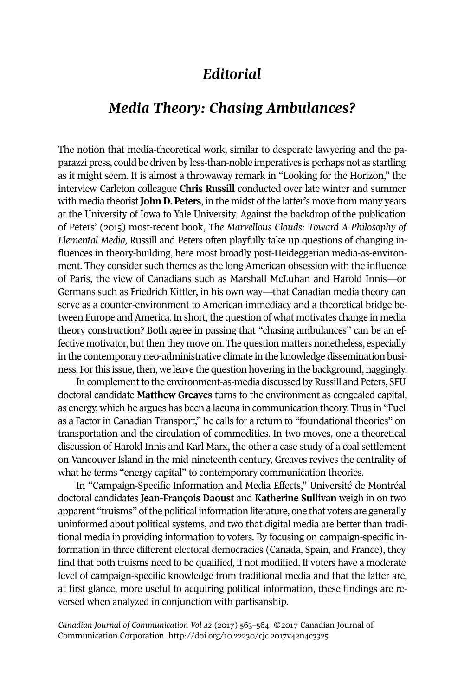## *Editorial*

## *Media Theory: Chasing Ambulances?*

The notion that media-theoretical work, similar to desperate lawyering and the paparazzi press, could be driven by less-than-noble imperatives is perhaps not as startling as it might seem. It is almost a throwaway remark in "Looking for the Horizon," the interview Carleton colleague **Chris Russill** conducted over late winter and summer with media theorist**JohnD. Peters**, in the midst of the latter's move from many years at the University of Iowa to Yale University. Against the backdrop of the publication of Peters' (2015) most-recent book, *The Marvellous Clouds: Toward A Philosophy of Elemental Media,* Russill and Peters often playfully take up questions of changing influences in theory-building, here most broadly post-Heideggerian media-as-environment. They consider such themes as the long American obsession with the influence of Paris, the view of Canadians such as Marshall McLuhan and Harold Innis—or Germans such as Friedrich Kittler, in his own way—that Canadian media theory can serve as a counter-environment to American immediacy and a theoretical bridge between Europe and America. In short, the question of what motivates change in media theory construction? Both agree in passing that "chasing ambulances" can be an effective motivator, but then they move on. The question matters nonetheless, especially in the contemporary neo-administrative climate in the knowledge dissemination business. For this issue, then, we leave the question hovering in the background, naggingly.

In complement to the environment-as-media discussed by Russill and Peters, SFU doctoral candidate **Matthew Greaves** turns to the environment as congealed capital, as energy, which he argues has been a lacuna in communication theory. Thus in "Fuel as a Factor in Canadian Transport," he calls for a return to "foundational theories" on transportation and the circulation of commodities. In two moves, one a theoretical discussion of Harold Innis and Karl Marx, the other a case study of a coal settlement on Vancouver Island in the mid-nineteenth century, Greaves revives the centrality of what he terms "energy capital" to contemporary communication theories.

In "Campaign-Specific Information and Media Effects," Université de Montréal doctoral candidates **Jean-François Daoust** and **Katherine Sullivan** weigh in on two apparent "truisms" of the political information literature, one that voters are generally uninformed about political systems, and two that digital media are better than traditional media in providing information to voters. By focusing on campaign-specific information in three different electoral democracies (Canada, Spain, and France), they find that both truisms need to be qualified, if not modified. If voters have a moderate level of campaign-specific knowledge from traditional media and that the latter are, at first glance, more useful to acquiring political information, these findings are reversed when analyzed in conjunction with partisanship.

*Canadian Journal of [Communication](http://www.cjc-online.ca) Vol 42* (2017) 563–564 ©2017 Canadian Journal of Communication Corporation <http://doi.org/10.22230/cjc.2017v42n4e3325>